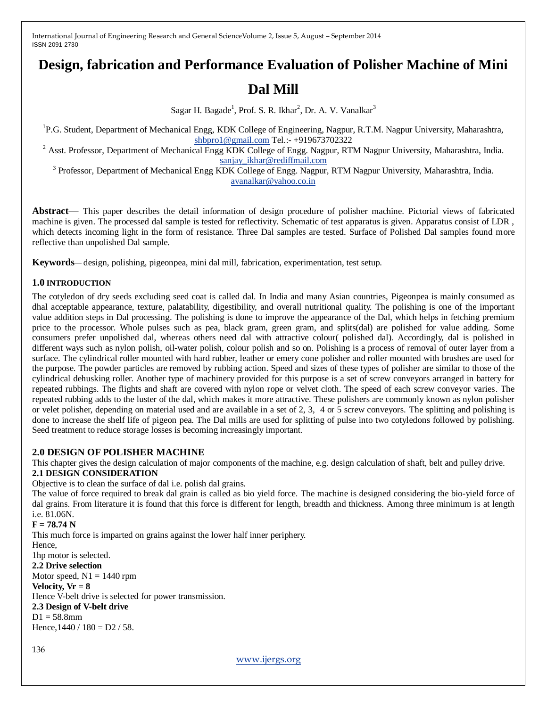# **Design, fabrication and Performance Evaluation of Polisher Machine of Mini**

# **Dal Mill**

Sagar H. Bagade<sup>1</sup>, Prof. S. R. Ikhar<sup>2</sup>, Dr. A. V. Vanalkar<sup>3</sup>

<sup>1</sup>P.G. Student, Department of Mechanical Engg, KDK College of Engineering, Nagpur, R.T.M. Nagpur University, Maharashtra, [shbpro1@gmail.com](mailto:shbpro1@gmail.com) Tel.:- +919673702322

<sup>2</sup> Asst. Professor, Department of Mechanical Engg KDK College of Engg. Nagpur, RTM Nagpur University, Maharashtra, India. [sanjay\\_ikhar@rediffmail.com](mailto:sanjay_ikhar@rediffmail.com)

<sup>3</sup> Professor, Department of Mechanical Engg KDK College of Engg. Nagpur, RTM Nagpur University, Maharashtra, India. [avanalkar@yahoo.co.in](mailto:avanalkar@yahoo.co.in)

**Abstract**— This paper describes the detail information of design procedure of polisher machine. Pictorial views of fabricated machine is given. The processed dal sample is tested for reflectivity. Schematic of test apparatus is given. Apparatus consist of LDR , which detects incoming light in the form of resistance. Three Dal samples are tested. Surface of Polished Dal samples found more reflective than unpolished Dal sample.

**Keywords**— design, polishing, pigeonpea, mini dal mill, fabrication, experimentation, test setup.

# **1.0 INTRODUCTION**

The cotyledon of dry seeds excluding seed coat is called dal*.* In India and many Asian countries, Pigeonpea is mainly consumed as dhal acceptable appearance, texture, palatability, digestibility, and overall nutritional quality. The polishing is one of the important value addition steps in Dal processing. The polishing is done to improve the appearance of the Dal, which helps in fetching premium price to the processor. Whole pulses such as pea, black gram, green gram, and splits(dal) are polished for value adding. Some consumers prefer unpolished dal, whereas others need dal with attractive colour( polished dal). Accordingly, dal is polished in different ways such as nylon polish, oil-water polish, colour polish and so on. Polishing is a process of removal of outer layer from a surface. The cylindrical roller mounted with hard rubber, leather or emery cone polisher and roller mounted with brushes are used for the purpose. The powder particles are removed by rubbing action. Speed and sizes of these types of polisher are similar to those of the cylindrical dehusking roller. Another type of machinery provided for this purpose is a set of screw conveyors arranged in battery for repeated rubbings. The flights and shaft are covered with nylon rope or velvet cloth. The speed of each screw conveyor varies. The repeated rubbing adds to the luster of the dal, which makes it more attractive. These polishers are commonly known as nylon polisher or velet polisher, depending on material used and are available in a set of 2, 3, 4 or 5 screw conveyors. The splitting and polishing is done to increase the shelf life of pigeon pea. The Dal mills are used for splitting of pulse into two cotyledons followed by polishing. Seed treatment to reduce storage losses is becoming increasingly important.

## **2.0 DESIGN OF POLISHER MACHINE**

This chapter gives the design calculation of major components of the machine, e.g. design calculation of shaft, belt and pulley drive. **2.1 DESIGN CONSIDERATION**

Objective is to clean the surface of dal i.e. polish dal grains.

The value of force required to break dal grain is called as bio yield force. The machine is designed considering the bio-yield force of dal grains. From literature it is found that this force is different for length, breadth and thickness. Among three minimum is at length i.e. 81.06N.

```
F = 78.74 N
```
This much force is imparted on grains against the lower half inner periphery.

Hence,

1hp motor is selected.

**2.2 Drive selection**

Motor speed,  $N1 = 1440$  rpm **Velocity,**  $V_r = 8$ Hence V-belt drive is selected for power transmission.

#### **2.3 Design of V-belt drive**

 $D1 = 58.8$ mm Hence,  $1440 / 180 = D2 / 58$ .

136

[www.ijergs.org](http://www.ijergs.org/)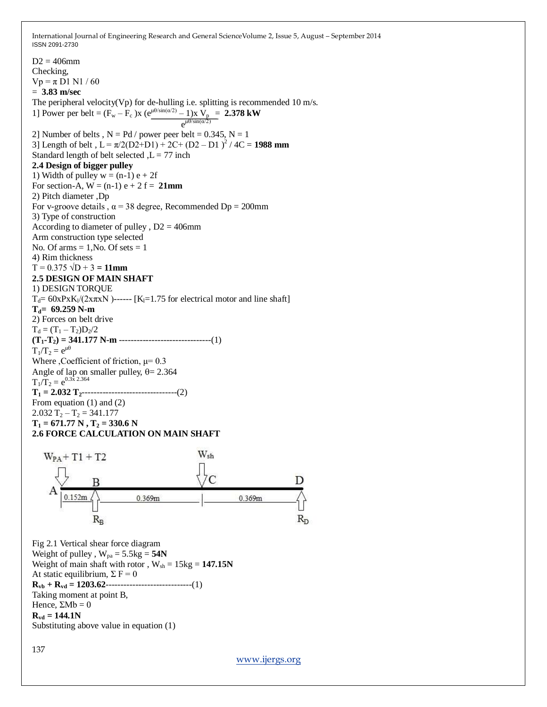$D2 = 406$ mm Checking,  $Vp = π D1 N1 / 60$ = **3.83 m/sec** The peripheral velocity(Vp) for de-hulling i.e. splitting is recommended 10 m/s. 1] Power per belt =  $(F_w - F_c)x (e^{\mu\theta/sin(\alpha/2)} - 1)x V_p = 2.378 \text{ kW}$  $e^{\mu\theta/\sin(\alpha/2)}$ 2] Number of belts,  $N = Pd / power$  power peer belt = 0.345,  $N = 1$ 3] Length of belt,  $L = \pi/2(D2+D1) + 2C + (D2 - D1)^2 / 4C = 1988$  mm Standard length of belt selected  $L = 77$  inch **2.4 Design of bigger pulley** 1) Width of pulley  $w = (n-1) e + 2f$ For section-A,  $W = (n-1) e + 2 f = 21$ mm 2) Pitch diameter ,Dp For v-groove details,  $\alpha = 38$  degree, Recommended Dp = 200mm 3) Type of construction According to diameter of pulley,  $D2 = 406$ mm Arm construction type selected No. Of arms  $= 1$ . No. Of sets  $= 1$ 4) Rim thickness  $T = 0.375 \sqrt{D} + 3 = 11$ mm **2.5 DESIGN OF MAIN SHAFT** 1) DESIGN TORQUE  $T_d = 60xPxK_l/(2x\pi xN)$ ------ [K<sub>i</sub>=1.75 for electrical motor and line shaft] **Td= 69.259 N-m** 2) Forces on belt drive  $T_d = (T_1 - T_2)D_2/2$ **(T1-T2) = 341.177 N-m** -------------------------------(1)  $T_1/T_2 = e^{\mu \theta}$ Where , Coefficient of friction,  $\mu$ = 0.3 Angle of lap on smaller pulley,  $\theta = 2.364$  $T_1/T_2 = e^{0.3\bar{x} 2.364}$ **T<sup>1</sup> = 2.032 T2**--------------------------------(2) From equation (1) and (2)  $2.032$  T<sub>2</sub> – T<sub>2</sub> = 341.177  $T_1 = 671.77$  **N**,  $T_2 = 330.6$  **N 2.6 FORCE CALCULATION ON MAIN SHAFT**



Fig 2.1 Vertical shear force diagram Weight of pulley ,  $W_{pa} = 5.5kg = 54N$ Weight of main shaft with rotor,  $W_{sh} = 15kg = 147.15N$ At static equilibrium,  $\Sigma F = 0$  $R_{vb} + R_{vd} = 1203.62$ ----------------------------------(1) Taking moment at point B, Hence,  $\Sigma Mb = 0$  $R_{vd} = 144.1N$ Substituting above value in equation (1)

137

[www.ijergs.org](http://www.ijergs.org/)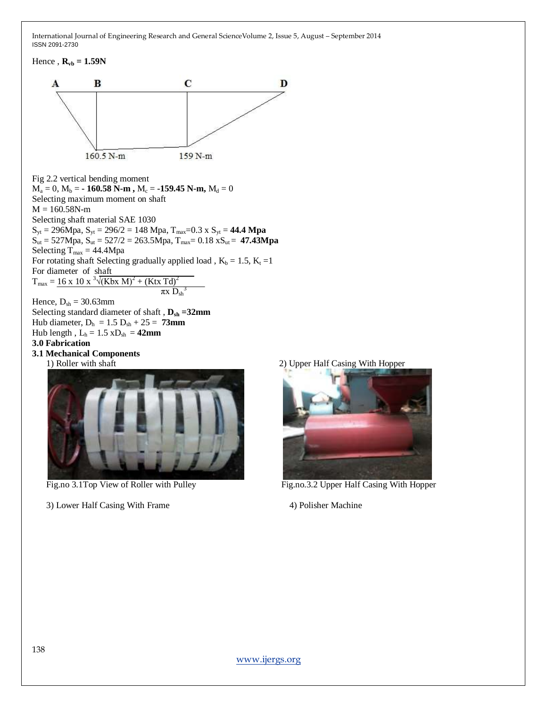Hence,  $\mathbf{R}_{\text{vb}} = 1.59\text{N}$ 





3) Lower Half Casing With Frame 4) Polisher Machine



Fig.no 3.1Top View of Roller with Pulley Fig.no.3.2 Upper Half Casing With Hopper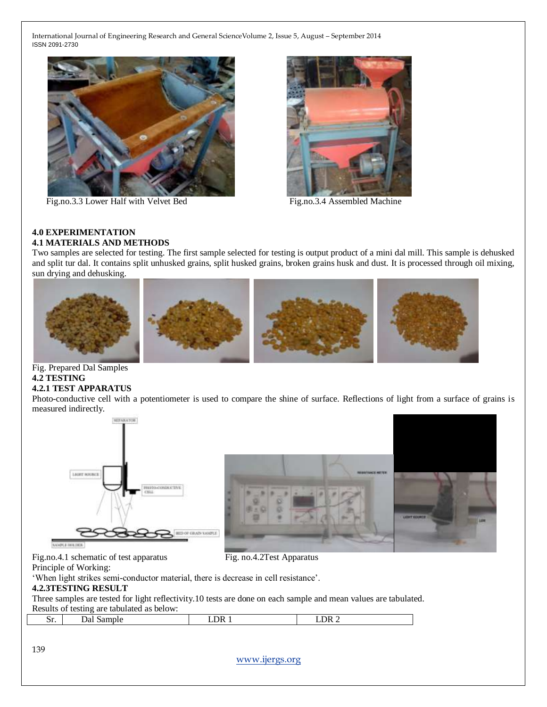

Fig.no.3.3 Lower Half with Velvet Bed Fig.no.3.4 Assembled Machine



#### **4.0 EXPERIMENTATION 4.1 MATERIALS AND METHODS**

Two samples are selected for testing. The first sample selected for testing is output product of a mini dal mill. This sample is dehusked and split tur dal. It contains split unhusked grains, split husked grains, broken grains husk and dust. It is processed through oil mixing, sun drying and dehusking.



#### Fig. Prepared Dal Samples **4.2 TESTING**

## **4.2.1 TEST APPARATUS**

Photo-conductive cell with a potentiometer is used to compare the shine of surface. Reflections of light from a surface of grains is measured indirectly.





Fig.no.4.1 schematic of test apparatus Fig. no.4.2Test Apparatus Principle of Working:

‗When light strikes semi-conductor material, there is decrease in cell resistance'.

## **4.2.3TESTING RESULT**

Three samples are tested for light reflectivity.10 tests are done on each sample and mean values are tabulated. Results of testing are tabulated as below:

| ᇦ. | פו<br> | ж | JК |
|----|--------|---|----|
|    |        |   |    |

[www.ijergs.org](http://www.ijergs.org/)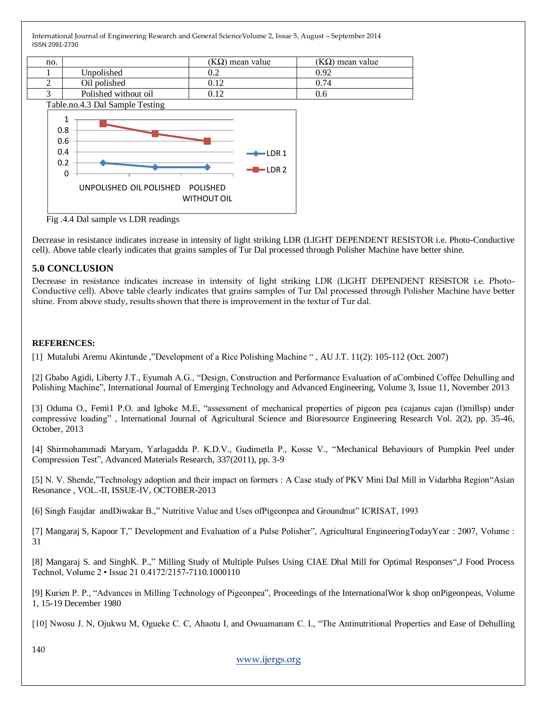

Fig .4.4 Dal sample vs LDR readings

Decrease in resistance indicates increase in intensity of light striking LDR (LIGHT DEPENDENT RESISTOR i.e. Photo-Conductive cell). Above table clearly indicates that grains samples of Tur Dal processed through Polisher Machine have better shine.

# **5.0 CONCLUSION**

Decrease in resistance indicates increase in intensity of light striking LDR (LIGHT DEPENDENT RESISTOR i.e. Photo-Conductive cell). Above table clearly indicates that grains samples of Tur Dal processed through Polisher Machine have better shine. From above study, results shown that there is improvement in the textur of Tur dal.

# **REFERENCES:**

[1] Mutalubi Aremu Akintunde ,"Development of a Rice Polishing Machine ", AU J.T. 11(2): 105-112 (Oct. 2007)

[2] Gbabo Agidi, Liberty J.T., Eyumah A.G., "Design, Construction and Performance Evaluation of aCombined Coffee Dehulling and Polishing Machine", International Journal of Emerging Technology and Advanced Engineering, Volume 3, Issue 11, November 2013

[3] Oduma O., Femi1 P.O. and Igboke M.E. "assessment of mechanical properties of pigeon pea (cajanus cajan (l)millsp) under compressive loading", International Journal of Agricultural Science and Bioresource Engineering Research Vol. 2(2), pp. 35-46, October, 2013

[4] Shirmohammadi Maryam, Yarlagadda P. K.D.V., Gudimetla P., Kosse V., "Mechanical Behaviours of Pumpkin Peel under Compression Test", Advanced Materials Research, 337(2011), pp. 3-9

[5] N. V. Shende, "Technology adoption and their impact on formers : A Case study of PKV Mini Dal Mill in Vidarbha Region"Asian Resonance , VOL.-II, ISSUE-IV, OCTOBER-2013

[6] Singh Faujdar and Diwakar B.," Nutritive Value and Uses of Pigeonpea and Groundnut" ICRISAT, 1993

[7] Mangaraj S, Kapoor T," Development and Evaluation of a Pulse Polisher", Agricultural EngineeringTodayYear : 2007, Volume : 31

[8] Mangaraj S. and SinghK. P.," Milling Study of Multiple Pulses Using CIAE Dhal Mill for Optimal Responses", J Food Process Technol, Volume 2 • Issue 21 0.4172/2157-7110.1000110

[9] Kurien P. P., "Advances in Milling Technology of Pigeonpea", Proceedings of the InternationalWor k shop onPigeonpeas, Volume 1, 15-19 December 1980

[10] Nwosu J. N, Ojukwu M, Ogueke C. C, Ahaotu I, and Owuamanam C. I., "The Antinutritional Properties and Ease of Dehulling

140